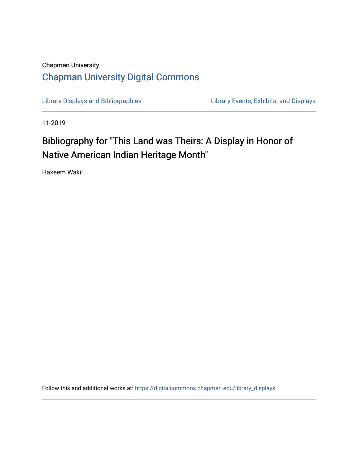## Chapman University [Chapman University Digital Commons](https://digitalcommons.chapman.edu/)

[Library Displays and Bibliographies](https://digitalcommons.chapman.edu/library_displays) Library Events, Exhibits, and Displays

11-2019

# Bibliography for "This Land was Theirs: A Display in Honor of Native American Indian Heritage Month"

Hakeem Wakil

Follow this and additional works at: [https://digitalcommons.chapman.edu/library\\_displays](https://digitalcommons.chapman.edu/library_displays?utm_source=digitalcommons.chapman.edu%2Flibrary_displays%2F15&utm_medium=PDF&utm_campaign=PDFCoverPages)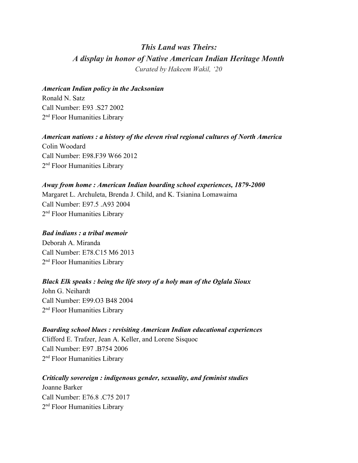## *This Land was Theirs: A display in honor of Native American Indian Heritage Month Curated by Hakeem Wakil, '20*

#### *American Indian policy in the Jacksonian*

Ronald N. Satz Call Number: E93 .S27 2002 2<sup>nd</sup> Floor Humanities Library

#### *American nations : a history of the eleven rival regional cultures of North America*

Colin Woodard Call Number: E98.F39 W66 2012 2<sup>nd</sup> Floor Humanities Library

#### *Away from home : American Indian boarding school experiences, 1879-2000*

Margaret L. Archuleta, Brenda J. Child, and K. Tsianina Lomawaima Call Number: E97.5 .A93 2004 2<sup>nd</sup> Floor Humanities Library

#### *Bad indians : a tribal memoir*

Deborah A. Miranda Call Number: E78.C15 M6 2013 2<sup>nd</sup> Floor Humanities Library

#### *Black Elk speaks : being the life story of a holy man of the Oglala Sioux*

John G. Neihardt Call Number: E99.O3 B48 2004 2<sup>nd</sup> Floor Humanities Library

## *Boarding school blues : revisiting American Indian educational experiences*

Clifford E. Trafzer, Jean A. Keller, and Lorene Sisquoc Call Number: E97 .B754 2006 2<sup>nd</sup> Floor Humanities Library

## *Critically sovereign : indigenous gender, sexuality, and feminist studies* Joanne Barker Call Number: E76.8 C75.2017 2<sup>nd</sup> Floor Humanities Library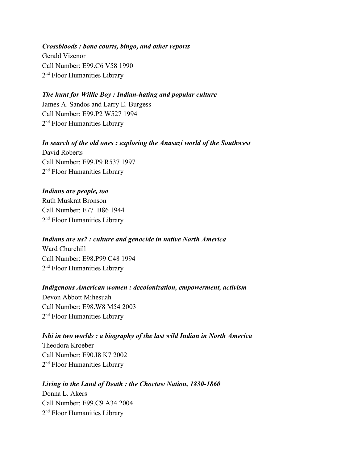*Crossbloods : bone courts, bingo, and other reports* Gerald Vizenor Call Number: E99.C6 V58 1990 2<sup>nd</sup> Floor Humanities Library

#### *The hunt for Willie Boy : Indian-hating and popular culture*

James A. Sandos and Larry E. Burgess Call Number: E99.P2 W527 1994 2<sup>nd</sup> Floor Humanities Library

*In search of the old ones : exploring the Anasazi world of the Southwest* David Roberts Call Number: E99.P9 R537 1997 2<sup>nd</sup> Floor Humanities Library

#### *Indians are people, too*

Ruth Muskrat Bronson Call Number: E77 B86 1944 2<sup>nd</sup> Floor Humanities Library

### *Indians are us? : culture and genocide in native North America*

Ward Churchill Call Number: E98.P99 C48 1994 2<sup>nd</sup> Floor Humanities Library

#### *Indigenous American women : decolonization, empowerment, activism*

Devon Abbott Mihesuah Call Number: E98.W8 M54 2003 2<sup>nd</sup> Floor Humanities Library

## *Ishi in two worlds : a biography of the last wild Indian in North America* Theodora Kroeber Call Number: E90.I8 K7 2002 2<sup>nd</sup> Floor Humanities Library

#### *Living in the Land of Death : the Choctaw Nation, 1830-1860*

Donna L. Akers Call Number: E99.C9 A34 2004 2<sup>nd</sup> Floor Humanities Library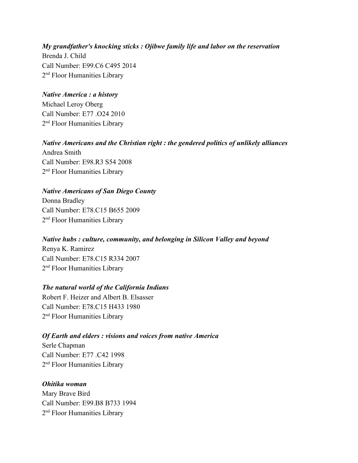*My grandfather's knocking sticks : Ojibwe family life and labor on the reservation* Brenda J. Child Call Number: E99.C6 C495 2014 2<sup>nd</sup> Floor Humanities Library

#### *Native America : a history*

Michael Leroy Oberg Call Number: E77 .O24 2010 2<sup>nd</sup> Floor Humanities Library

*Native Americans and the Christian right : the gendered politics of unlikely alliances* Andrea Smith Call Number: E98.R3 S54 2008 2<sup>nd</sup> Floor Humanities Library

#### *Native Americans of San Diego County*

Donna Bradley Call Number: E78.C15 B655 2009 2<sup>nd</sup> Floor Humanities Library

### *Native hubs : culture, community, and belonging in Silicon Valley and beyond* Renya K. Ramirez

Call Number: E78.C15 R334 2007 2<sup>nd</sup> Floor Humanities Library

#### *The natural world of the California Indians*

Robert F. Heizer and Albert B. Elsasser Call Number: E78.C15 H433 1980 2<sup>nd</sup> Floor Humanities Library

#### *Of Earth and elders : visions and voices from native America*

Serle Chapman Call Number: E77 .C42 1998 2<sup>nd</sup> Floor Humanities Library

#### *Ohitika woman*

Mary Brave Bird Call Number: E99.B8 B733 1994 2<sup>nd</sup> Floor Humanities Library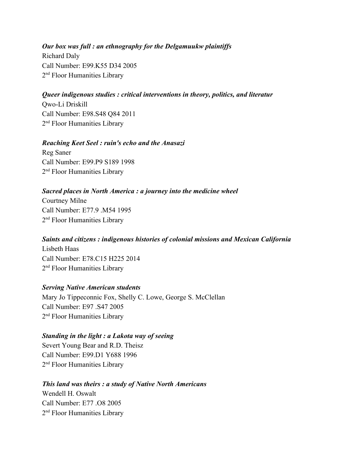*Our box was full : an ethnography for the Delgamuukw plaintiffs* Richard Daly Call Number: E99.K55 D34 2005 2<sup>nd</sup> Floor Humanities Library

#### *Queer indigenous studies : critical interventions in theory, politics, and literatur*

Qwo-Li Driskill Call Number: E98.S48 Q84 2011 2<sup>nd</sup> Floor Humanities Library

#### *Reaching Keet Seel : ruin's echo and the Anasazi*

Reg Saner Call Number: E99.P9 S189 1998 2<sup>nd</sup> Floor Humanities Library

## *Sacred places in North America : a journey into the medicine wheel*

Courtney Milne Call Number: E77.9 .M54 1995 2<sup>nd</sup> Floor Humanities Library

## *Saints and citizens : indigenous histories of colonial missions and Mexican California* Lisbeth Haas Call Number: E78.C15 H225 2014

2<sup>nd</sup> Floor Humanities Library

#### *Serving Native American students*

Mary Jo Tippeconnic Fox, Shelly C. Lowe, George S. McClellan Call Number: E97 .S47 2005 2<sup>nd</sup> Floor Humanities Library

#### *Standing in the light : a Lakota way of seeing*

Severt Young Bear and R.D. Theisz Call Number: E99.D1 Y688 1996 2<sup>nd</sup> Floor Humanities Library

#### *This land was theirs : a study of Native North Americans*

Wendell H. Oswalt Call Number: E77 .O8 2005 2<sup>nd</sup> Floor Humanities Library